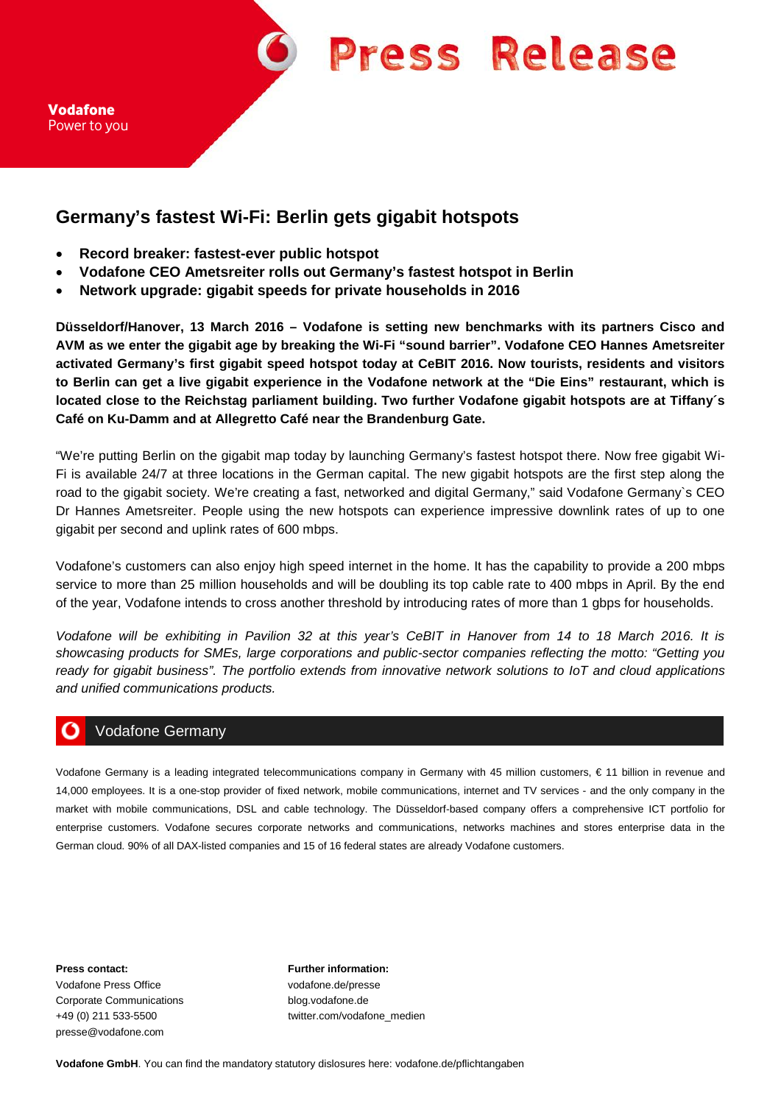**Press Release** 

## **Germany's fastest Wi-Fi: Berlin gets gigabit hotspots**

- **Record breaker: fastest-ever public hotspot**
- **Vodafone CEO Ametsreiter rolls out Germany's fastest hotspot in Berlin**
- **Network upgrade: gigabit speeds for private households in 2016**

**Düsseldorf/Hanover, 13 March 2016 – Vodafone is setting new benchmarks with its partners Cisco and AVM as we enter the gigabit age by breaking the Wi-Fi "sound barrier". Vodafone CEO Hannes Ametsreiter activated Germany's first gigabit speed hotspot today at CeBIT 2016. Now tourists, residents and visitors to Berlin can get a live gigabit experience in the Vodafone network at the "Die Eins" restaurant, which is located close to the Reichstag parliament building. Two further Vodafone gigabit hotspots are at Tiffany´s Café on Ku-Damm and at Allegretto Café near the Brandenburg Gate.** 

"We're putting Berlin on the gigabit map today by launching Germany's fastest hotspot there. Now free gigabit Wi-Fi is available 24/7 at three locations in the German capital. The new gigabit hotspots are the first step along the road to the gigabit society. We're creating a fast, networked and digital Germany," said Vodafone Germany`s CEO Dr Hannes Ametsreiter. People using the new hotspots can experience impressive downlink rates of up to one gigabit per second and uplink rates of 600 mbps.

Vodafone's customers can also enjoy high speed internet in the home. It has the capability to provide a 200 mbps service to more than 25 million households and will be doubling its top cable rate to 400 mbps in April. By the end of the year, Vodafone intends to cross another threshold by introducing rates of more than 1 gbps for households.

*Vodafone will be exhibiting in Pavilion 32 at this year's CeBIT in Hanover from 14 to 18 March 2016. It is showcasing products for SMEs, large corporations and public-sector companies reflecting the motto: "Getting you ready for gigabit business". The portfolio extends from innovative network solutions to IoT and cloud applications and unified communications products.*

## Vodafone Germany

Vodafone Germany is a leading integrated telecommunications company in Germany with 45 million customers, € 11 billion in revenue and 14,000 employees. It is a one-stop provider of fixed network, mobile communications, internet and TV services - and the only company in the market with mobile communications, DSL and cable technology. The Düsseldorf-based company offers a comprehensive ICT portfolio for enterprise customers. Vodafone secures corporate networks and communications, networks machines and stores enterprise data in the German cloud. 90% of all DAX-listed companies and 15 of 16 federal states are already Vodafone customers.

**Press contact: Further information:** Vodafone Press Office vodafone.de/presse Corporate Communications blog.vodafone.de presse@vodafone.com

+49 (0) 211 533-5500 twitter.com/vodafone\_medien

**Vodafone GmbH**. You can find the mandatory statutory dislosures here: vodafone.de/pflichtangaben